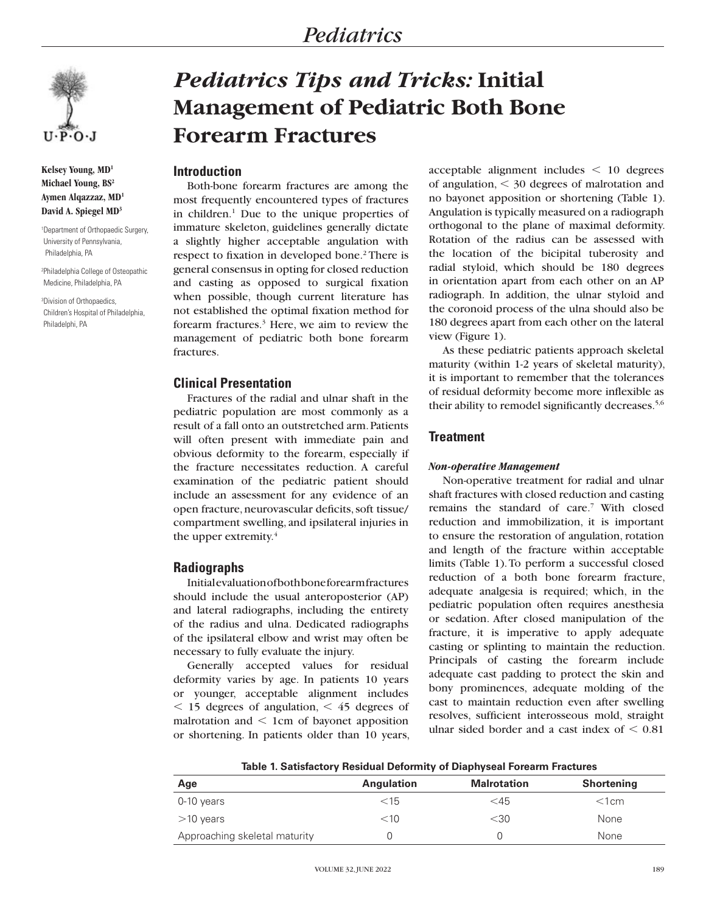# *Pediatrics*



**Kelsey Young, MD1 Michael Young, BS2 Aymen Alqazzaz, MD1 David A. Spiegel MD3**

1 Department of Orthopaedic Surgery, University of Pennsylvania, Philadelphia, PA

2 Philadelphia College of Osteopathic Medicine, Philadelphia, PA

3 Division of Orthopaedics, Children's Hospital of Philadelphia, Philadelphi, PA

# *Pediatrics Tips and Tricks:* **Initial Management of Pediatric Both Bone Forearm Fractures**

#### **Introduction**

Both-bone forearm fractures are among the most frequently encountered types of fractures in children.<sup>1</sup> Due to the unique properties of immature skeleton, guidelines generally dictate a slightly higher acceptable angulation with respect to fixation in developed bone.<sup>2</sup> There is general consensus in opting for closed reduction and casting as opposed to surgical fixation when possible, though current literature has not established the optimal fixation method for forearm fractures.3 Here, we aim to review the management of pediatric both bone forearm fractures.

#### **Clinical Presentation**

Fractures of the radial and ulnar shaft in the pediatric population are most commonly as a result of a fall onto an outstretched arm. Patients will often present with immediate pain and obvious deformity to the forearm, especially if the fracture necessitates reduction. A careful examination of the pediatric patient should include an assessment for any evidence of an open fracture, neurovascular deficits, soft tissue/ compartment swelling, and ipsilateral injuries in the upper extremity.<sup>4</sup>

#### **Radiographs**

Initial evaluation of both bone forearm fractures should include the usual anteroposterior (AP) and lateral radiographs, including the entirety of the radius and ulna. Dedicated radiographs of the ipsilateral elbow and wrist may often be necessary to fully evaluate the injury.

Generally accepted values for residual deformity varies by age. In patients 10 years or younger, acceptable alignment includes  $<$  15 degrees of angulation,  $<$  45 degrees of malrotation and  $\leq 1$ cm of bayonet apposition or shortening. In patients older than 10 years, acceptable alignment includes  $\leq 10$  degrees of angulation,  $\leq 30$  degrees of malrotation and no bayonet apposition or shortening (Table 1). Angulation is typically measured on a radiograph orthogonal to the plane of maximal deformity. Rotation of the radius can be assessed with the location of the bicipital tuberosity and radial styloid, which should be 180 degrees in orientation apart from each other on an AP radiograph. In addition, the ulnar styloid and the coronoid process of the ulna should also be 180 degrees apart from each other on the lateral view (Figure 1).

As these pediatric patients approach skeletal maturity (within 1-2 years of skeletal maturity), it is important to remember that the tolerances of residual deformity become more inflexible as their ability to remodel significantly decreases.<sup>5,6</sup>

## **Treatment**

#### *Non-operative Management*

Non-operative treatment for radial and ulnar shaft fractures with closed reduction and casting remains the standard of care.7 With closed reduction and immobilization, it is important to ensure the restoration of angulation, rotation and length of the fracture within acceptable limits (Table 1). To perform a successful closed reduction of a both bone forearm fracture, adequate analgesia is required; which, in the pediatric population often requires anesthesia or sedation. After closed manipulation of the fracture, it is imperative to apply adequate casting or splinting to maintain the reduction. Principals of casting the forearm include adequate cast padding to protect the skin and bony prominences, adequate molding of the cast to maintain reduction even after swelling resolves, sufficient interosseous mold, straight ulnar sided border and a cast index of  $< 0.81$ 

| Table 1. Satisfactory Residual Deformity of Diaphyseal Forearm Fractures |  |  |  |
|--------------------------------------------------------------------------|--|--|--|

| Age                           | Angulation | <b>Malrotation</b> | <b>Shortening</b> |
|-------------------------------|------------|--------------------|-------------------|
| 0-10 years                    | ⊂1.h       | ${<}45$            | $<$ 1 $cm$        |
| $>$ 10 years                  | $<$ 10     | <30                | None              |
| Approaching skeletal maturity |            |                    | None              |